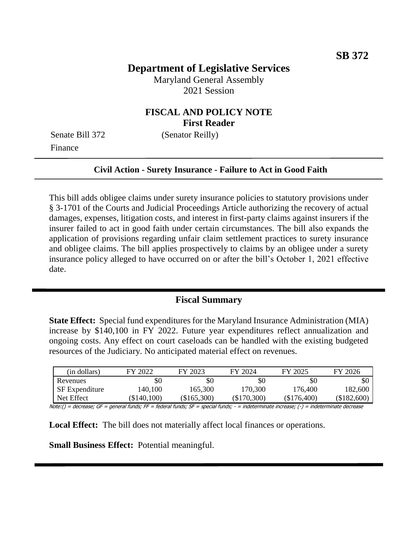# **Department of Legislative Services**

Maryland General Assembly 2021 Session

## **FISCAL AND POLICY NOTE First Reader**

Finance

Senate Bill 372 (Senator Reilly)

#### **Civil Action - Surety Insurance - Failure to Act in Good Faith**

This bill adds obligee claims under surety insurance policies to statutory provisions under § 3-1701 of the Courts and Judicial Proceedings Article authorizing the recovery of actual damages, expenses, litigation costs, and interest in first-party claims against insurers if the insurer failed to act in good faith under certain circumstances. The bill also expands the application of provisions regarding unfair claim settlement practices to surety insurance and obligee claims. The bill applies prospectively to claims by an obligee under a surety insurance policy alleged to have occurred on or after the bill's October 1, 2021 effective date.

#### **Fiscal Summary**

**State Effect:** Special fund expenditures for the Maryland Insurance Administration (MIA) increase by \$140,100 in FY 2022. Future year expenditures reflect annualization and ongoing costs. Any effect on court caseloads can be handled with the existing budgeted resources of the Judiciary. No anticipated material effect on revenues.

| (in dollars)   | FY 2022    | FY 2023   | FY 2024     | FY 2025     | FY 2026   |
|----------------|------------|-----------|-------------|-------------|-----------|
| Revenues       | \$0        | \$0       | \$0         | \$0         | \$0       |
| SF Expenditure | 140,100    | 165,300   | 170,300     | 176,400     | 182,600   |
| Net Effect     | \$140,100) | \$165,300 | (\$170,300) | (\$176,400) | \$182,600 |

Note:() = decrease; GF = general funds; FF = federal funds; SF = special funds; - = indeterminate increase; (-) = indeterminate decrease

**Local Effect:** The bill does not materially affect local finances or operations.

**Small Business Effect:** Potential meaningful.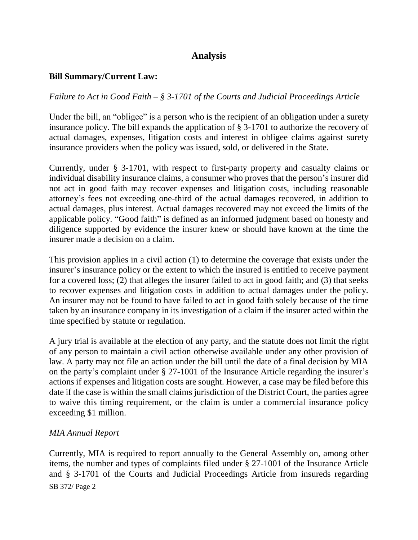# **Analysis**

### **Bill Summary/Current Law:**

### *Failure to Act in Good Faith – § 3-1701 of the Courts and Judicial Proceedings Article*

Under the bill, an "obligee" is a person who is the recipient of an obligation under a surety insurance policy. The bill expands the application of § 3-1701 to authorize the recovery of actual damages, expenses, litigation costs and interest in obligee claims against surety insurance providers when the policy was issued, sold, or delivered in the State.

Currently, under § 3-1701, with respect to first-party property and casualty claims or individual disability insurance claims, a consumer who proves that the person's insurer did not act in good faith may recover expenses and litigation costs, including reasonable attorney's fees not exceeding one-third of the actual damages recovered, in addition to actual damages, plus interest. Actual damages recovered may not exceed the limits of the applicable policy. "Good faith" is defined as an informed judgment based on honesty and diligence supported by evidence the insurer knew or should have known at the time the insurer made a decision on a claim.

This provision applies in a civil action (1) to determine the coverage that exists under the insurer's insurance policy or the extent to which the insured is entitled to receive payment for a covered loss; (2) that alleges the insurer failed to act in good faith; and (3) that seeks to recover expenses and litigation costs in addition to actual damages under the policy. An insurer may not be found to have failed to act in good faith solely because of the time taken by an insurance company in its investigation of a claim if the insurer acted within the time specified by statute or regulation.

A jury trial is available at the election of any party, and the statute does not limit the right of any person to maintain a civil action otherwise available under any other provision of law. A party may not file an action under the bill until the date of a final decision by MIA on the party's complaint under § 27-1001 of the Insurance Article regarding the insurer's actions if expenses and litigation costs are sought. However, a case may be filed before this date if the case is within the small claims jurisdiction of the District Court, the parties agree to waive this timing requirement, or the claim is under a commercial insurance policy exceeding \$1 million.

#### *MIA Annual Report*

SB 372/ Page 2 Currently, MIA is required to report annually to the General Assembly on, among other items, the number and types of complaints filed under § 27-1001 of the Insurance Article and § 3-1701 of the Courts and Judicial Proceedings Article from insureds regarding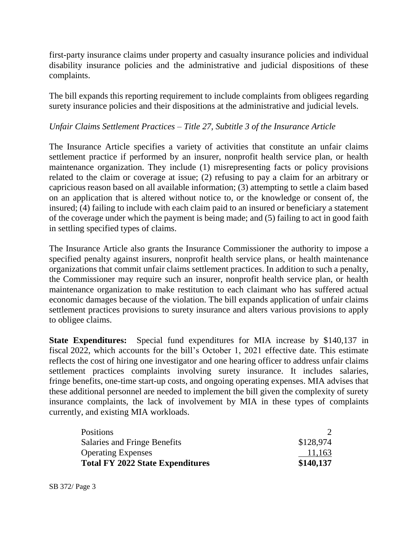first-party insurance claims under property and casualty insurance policies and individual disability insurance policies and the administrative and judicial dispositions of these complaints.

The bill expands this reporting requirement to include complaints from obligees regarding surety insurance policies and their dispositions at the administrative and judicial levels.

### *Unfair Claims Settlement Practices – Title 27, Subtitle 3 of the Insurance Article*

The Insurance Article specifies a variety of activities that constitute an unfair claims settlement practice if performed by an insurer, nonprofit health service plan, or health maintenance organization. They include (1) misrepresenting facts or policy provisions related to the claim or coverage at issue; (2) refusing to pay a claim for an arbitrary or capricious reason based on all available information; (3) attempting to settle a claim based on an application that is altered without notice to, or the knowledge or consent of, the insured; (4) failing to include with each claim paid to an insured or beneficiary a statement of the coverage under which the payment is being made; and (5) failing to act in good faith in settling specified types of claims.

The Insurance Article also grants the Insurance Commissioner the authority to impose a specified penalty against insurers, nonprofit health service plans, or health maintenance organizations that commit unfair claims settlement practices. In addition to such a penalty, the Commissioner may require such an insurer, nonprofit health service plan, or health maintenance organization to make restitution to each claimant who has suffered actual economic damages because of the violation. The bill expands application of unfair claims settlement practices provisions to surety insurance and alters various provisions to apply to obligee claims.

**State Expenditures:** Special fund expenditures for MIA increase by \$140,137 in fiscal 2022, which accounts for the bill's October 1, 2021 effective date. This estimate reflects the cost of hiring one investigator and one hearing officer to address unfair claims settlement practices complaints involving surety insurance. It includes salaries, fringe benefits, one-time start-up costs, and ongoing operating expenses. MIA advises that these additional personnel are needed to implement the bill given the complexity of surety insurance complaints, the lack of involvement by MIA in these types of complaints currently, and existing MIA workloads.

| <b>Positions</b>                        |           |
|-----------------------------------------|-----------|
| Salaries and Fringe Benefits            | \$128,974 |
| <b>Operating Expenses</b>               | 11,163    |
| <b>Total FY 2022 State Expenditures</b> | \$140,137 |